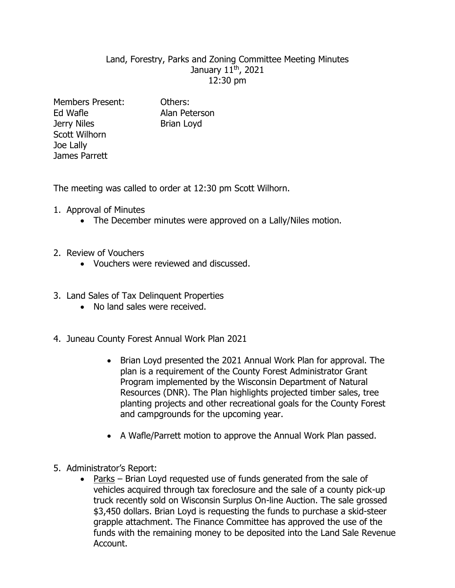## Land, Forestry, Parks and Zoning Committee Meeting Minutes January 11<sup>th</sup>, 2021 12:30 pm

Members Present: Others: Ed Wafle **Alan Peterson** Jerry Niles Brian Loyd Scott Wilhorn Joe Lally James Parrett

The meeting was called to order at 12:30 pm Scott Wilhorn.

- 1. Approval of Minutes
	- The December minutes were approved on a Lally/Niles motion.
- 2. Review of Vouchers
	- Vouchers were reviewed and discussed.
- 3. Land Sales of Tax Delinquent Properties
	- No land sales were received.
- 4. Juneau County Forest Annual Work Plan 2021
	- Brian Loyd presented the 2021 Annual Work Plan for approval. The plan is a requirement of the County Forest Administrator Grant Program implemented by the Wisconsin Department of Natural Resources (DNR). The Plan highlights projected timber sales, tree planting projects and other recreational goals for the County Forest and campgrounds for the upcoming year.
	- A Wafle/Parrett motion to approve the Annual Work Plan passed.
- 5. Administrator's Report:
	- Parks Brian Loyd requested use of funds generated from the sale of vehicles acquired through tax foreclosure and the sale of a county pick-up truck recently sold on Wisconsin Surplus On-line Auction. The sale grossed \$3,450 dollars. Brian Loyd is requesting the funds to purchase a skid-steer grapple attachment. The Finance Committee has approved the use of the funds with the remaining money to be deposited into the Land Sale Revenue Account.